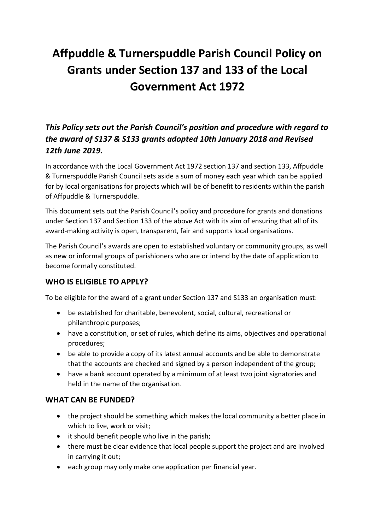# **Affpuddle & Turnerspuddle Parish Council Policy on Grants under Section 137 and 133 of the Local Government Act 1972**

# *This Policy sets out the Parish Council's position and procedure with regard to the award of S137 & S133 grants adopted 10th January 2018 and Revised 12th June 2019.*

In accordance with the Local Government Act 1972 section 137 and section 133, Affpuddle & Turnerspuddle Parish Council sets aside a sum of money each year which can be applied for by local organisations for projects which will be of benefit to residents within the parish of Affpuddle & Turnerspuddle.

This document sets out the Parish Council's policy and procedure for grants and donations under Section 137 and Section 133 of the above Act with its aim of ensuring that all of its award-making activity is open, transparent, fair and supports local organisations.

The Parish Council's awards are open to established voluntary or community groups, as well as new or informal groups of parishioners who are or intend by the date of application to become formally constituted.

## **WHO IS ELIGIBLE TO APPLY?**

To be eligible for the award of a grant under Section 137 and S133 an organisation must:

- be established for charitable, benevolent, social, cultural, recreational or philanthropic purposes;
- have a constitution, or set of rules, which define its aims, objectives and operational procedures;
- be able to provide a copy of its latest annual accounts and be able to demonstrate that the accounts are checked and signed by a person independent of the group;
- have a bank account operated by a minimum of at least two joint signatories and held in the name of the organisation.

## **WHAT CAN BE FUNDED?**

- the project should be something which makes the local community a better place in which to live, work or visit;
- it should benefit people who live in the parish;
- there must be clear evidence that local people support the project and are involved in carrying it out;
- each group may only make one application per financial year.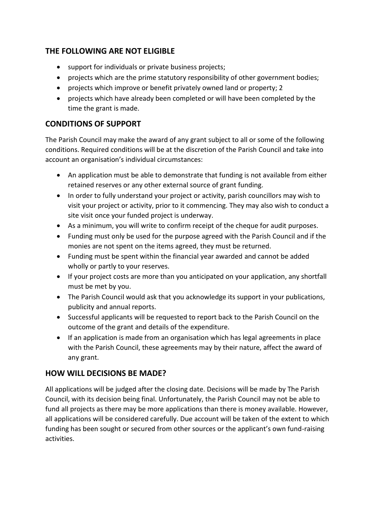## **THE FOLLOWING ARE NOT ELIGIBLE**

- support for individuals or private business projects;
- projects which are the prime statutory responsibility of other government bodies;
- projects which improve or benefit privately owned land or property: 2
- projects which have already been completed or will have been completed by the time the grant is made.

## **CONDITIONS OF SUPPORT**

The Parish Council may make the award of any grant subject to all or some of the following conditions. Required conditions will be at the discretion of the Parish Council and take into account an organisation's individual circumstances:

- An application must be able to demonstrate that funding is not available from either retained reserves or any other external source of grant funding.
- In order to fully understand your project or activity, parish councillors may wish to visit your project or activity, prior to it commencing. They may also wish to conduct a site visit once your funded project is underway.
- As a minimum, you will write to confirm receipt of the cheque for audit purposes.
- Funding must only be used for the purpose agreed with the Parish Council and if the monies are not spent on the items agreed, they must be returned.
- Funding must be spent within the financial year awarded and cannot be added wholly or partly to your reserves.
- If your project costs are more than you anticipated on your application, any shortfall must be met by you.
- The Parish Council would ask that you acknowledge its support in your publications, publicity and annual reports.
- Successful applicants will be requested to report back to the Parish Council on the outcome of the grant and details of the expenditure.
- If an application is made from an organisation which has legal agreements in place with the Parish Council, these agreements may by their nature, affect the award of any grant.

#### **HOW WILL DECISIONS BE MADE?**

All applications will be judged after the closing date. Decisions will be made by The Parish Council, with its decision being final. Unfortunately, the Parish Council may not be able to fund all projects as there may be more applications than there is money available. However, all applications will be considered carefully. Due account will be taken of the extent to which funding has been sought or secured from other sources or the applicant's own fund-raising activities.